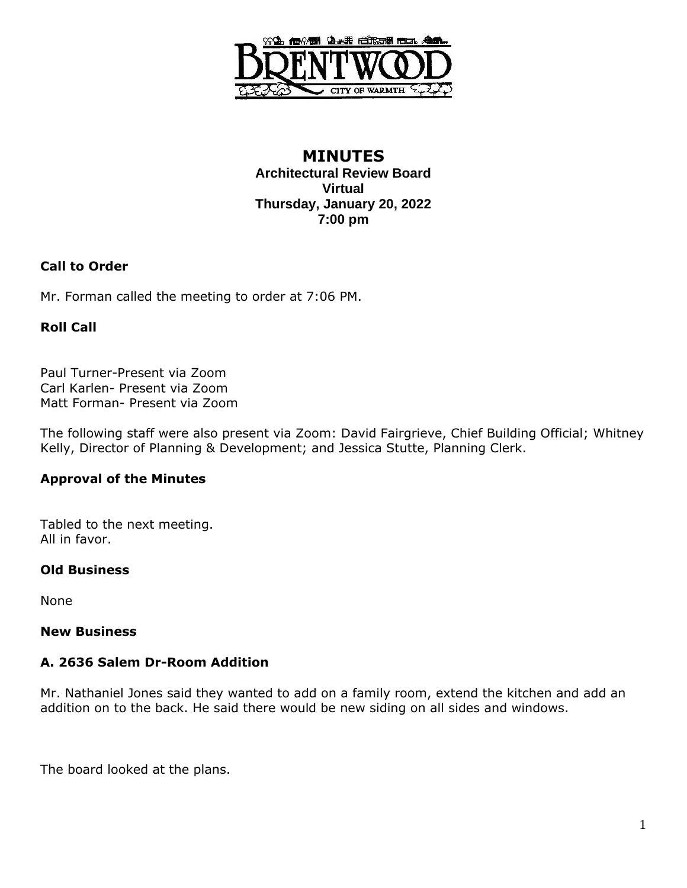

## **MINUTES Architectural Review Board Virtual Thursday, January 20, 2022 7:00 pm**

## **Call to Order**

Mr. Forman called the meeting to order at 7:06 PM.

## **Roll Call**

Paul Turner-Present via Zoom Carl Karlen- Present via Zoom Matt Forman- Present via Zoom

The following staff were also present via Zoom: David Fairgrieve, Chief Building Official; Whitney Kelly, Director of Planning & Development; and Jessica Stutte, Planning Clerk.

## **Approval of the Minutes**

Tabled to the next meeting. All in favor.

## **Old Business**

None

#### **New Business**

# **A. 2636 Salem Dr-Room Addition**

Mr. Nathaniel Jones said they wanted to add on a family room, extend the kitchen and add an addition on to the back. He said there would be new siding on all sides and windows.

The board looked at the plans.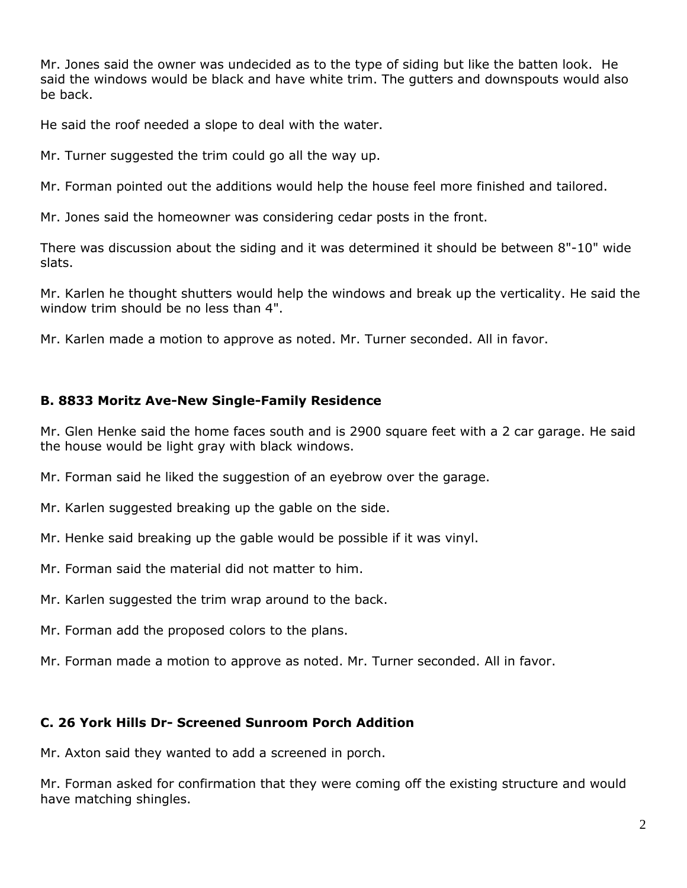Mr. Jones said the owner was undecided as to the type of siding but like the batten look. He said the windows would be black and have white trim. The gutters and downspouts would also be back.

He said the roof needed a slope to deal with the water.

Mr. Turner suggested the trim could go all the way up.

Mr. Forman pointed out the additions would help the house feel more finished and tailored.

Mr. Jones said the homeowner was considering cedar posts in the front.

There was discussion about the siding and it was determined it should be between 8"-10" wide slats.

Mr. Karlen he thought shutters would help the windows and break up the verticality. He said the window trim should be no less than 4".

Mr. Karlen made a motion to approve as noted. Mr. Turner seconded. All in favor.

## **B. 8833 Moritz Ave-New Single-Family Residence**

Mr. Glen Henke said the home faces south and is 2900 square feet with a 2 car garage. He said the house would be light gray with black windows.

Mr. Forman said he liked the suggestion of an eyebrow over the garage.

- Mr. Karlen suggested breaking up the gable on the side.
- Mr. Henke said breaking up the gable would be possible if it was vinyl.
- Mr. Forman said the material did not matter to him.
- Mr. Karlen suggested the trim wrap around to the back.
- Mr. Forman add the proposed colors to the plans.
- Mr. Forman made a motion to approve as noted. Mr. Turner seconded. All in favor.

## **C. 26 York Hills Dr- Screened Sunroom Porch Addition**

Mr. Axton said they wanted to add a screened in porch.

Mr. Forman asked for confirmation that they were coming off the existing structure and would have matching shingles.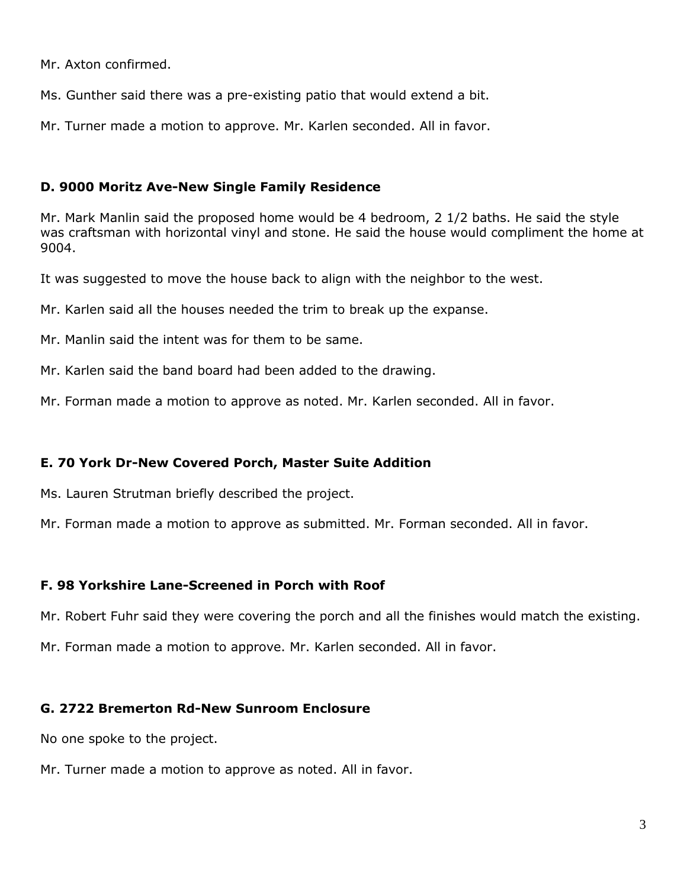Mr. Axton confirmed.

Ms. Gunther said there was a pre-existing patio that would extend a bit.

Mr. Turner made a motion to approve. Mr. Karlen seconded. All in favor.

## **D. 9000 Moritz Ave-New Single Family Residence**

Mr. Mark Manlin said the proposed home would be 4 bedroom, 2 1/2 baths. He said the style was craftsman with horizontal vinyl and stone. He said the house would compliment the home at 9004.

It was suggested to move the house back to align with the neighbor to the west.

Mr. Karlen said all the houses needed the trim to break up the expanse.

Mr. Manlin said the intent was for them to be same.

Mr. Karlen said the band board had been added to the drawing.

Mr. Forman made a motion to approve as noted. Mr. Karlen seconded. All in favor.

## **E. 70 York Dr-New Covered Porch, Master Suite Addition**

Ms. Lauren Strutman briefly described the project.

Mr. Forman made a motion to approve as submitted. Mr. Forman seconded. All in favor.

## **F. 98 Yorkshire Lane-Screened in Porch with Roof**

Mr. Robert Fuhr said they were covering the porch and all the finishes would match the existing.

Mr. Forman made a motion to approve. Mr. Karlen seconded. All in favor.

## **G. 2722 Bremerton Rd-New Sunroom Enclosure**

No one spoke to the project.

Mr. Turner made a motion to approve as noted. All in favor.